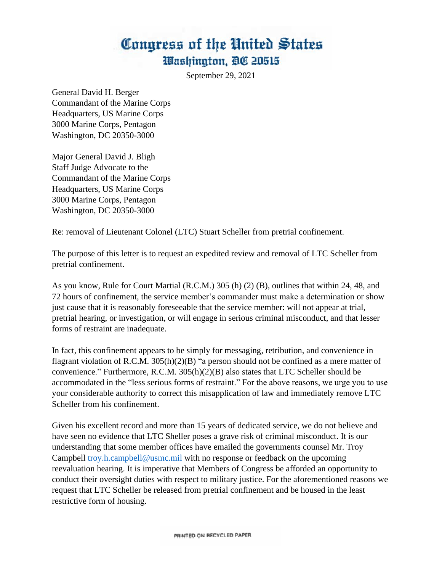## Congress of the United States Washington, DC 20515

September 29, 2021

General David H. Berger Commandant of the Marine Corps Headquarters, US Marine Corps 3000 Marine Corps, Pentagon Washington, DC 20350-3000

Major General David J. Bligh Staff Judge Advocate to the Commandant of the Marine Corps Headquarters, US Marine Corps 3000 Marine Corps, Pentagon Washington, DC 20350-3000

Re: removal of Lieutenant Colonel (LTC) Stuart Scheller from pretrial confinement.

The purpose of this letter is to request an expedited review and removal of LTC Scheller from pretrial confinement.

As you know, Rule for Court Martial (R.C.M.) 305 (h) (2) (B), outlines that within 24, 48, and 72 hours of confinement, the service member's commander must make a determination or show just cause that it is reasonably foreseeable that the service member: will not appear at trial, pretrial hearing, or investigation, or will engage in serious criminal misconduct, and that lesser forms of restraint are inadequate.

In fact, this confinement appears to be simply for messaging, retribution, and convenience in flagrant violation of R.C.M. 305(h)(2)(B) "a person should not be confined as a mere matter of convenience." Furthermore, R.C.M. 305(h)(2)(B) also states that LTC Scheller should be accommodated in the "less serious forms of restraint." For the above reasons, we urge you to use your considerable authority to correct this misapplication of law and immediately remove LTC Scheller from his confinement.

Given his excellent record and more than 15 years of dedicated service, we do not believe and have seen no evidence that LTC Sheller poses a grave risk of criminal misconduct. It is our understanding that some member offices have emailed the governments counsel Mr. Troy Campbell [troy.h.campbell@usmc.mil](mailto:troy.h.campbell@usmc.mil) with no response or feedback on the upcoming reevaluation hearing. It is imperative that Members of Congress be afforded an opportunity to conduct their oversight duties with respect to military justice. For the aforementioned reasons we request that LTC Scheller be released from pretrial confinement and be housed in the least restrictive form of housing.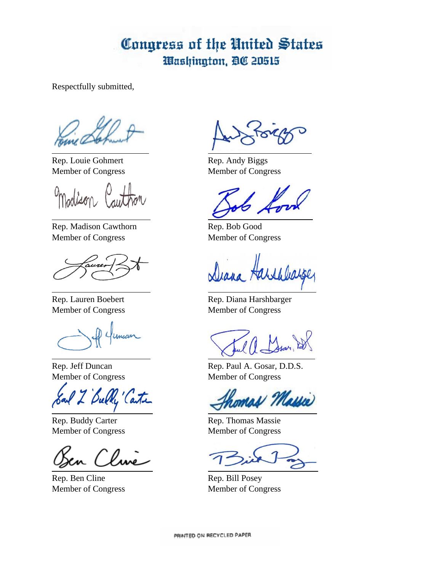## Congress of the United States Washington, DC 20515

Respectfully submitted,

Rep. Louie Gohmert Rep. Andy Biggs Member of Congress Member of Congress

rolison

Rep. Madison Cawthorn Rep. Bob Good Member of Congress Member of Congress

Unicin

Bully Carte

Inne

Rep. Ben Cline Rep. Bill Posey Member of Congress Member of Congress

Diana Harshlia

Rep. Lauren Boebert Rep. Diana Harshbarger Member of Congress Member of Congress

Rep. Jeff Duncan Rep. Paul A. Gosar, D.D.S. Member of Congress Member of Congress

homas Massie

Rep. Buddy Carter Rep. Thomas Massie Member of Congress Member of Congress